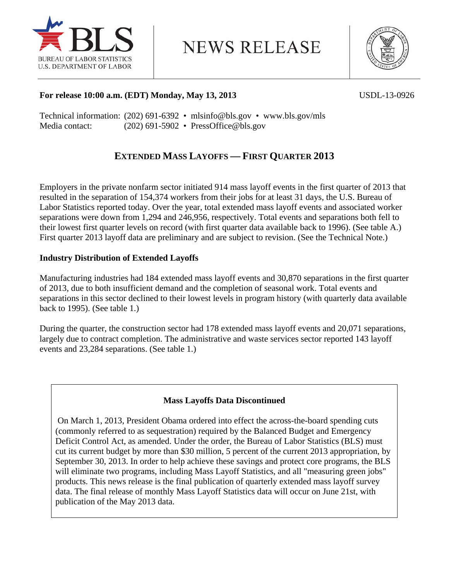

**NEWS RELEASE** 



## **For release 10:00 a.m. (EDT) Monday, May 13, 2013** USDL-13-0926

Technical information: (202) 691-6392 • mlsinfo@bls.gov • www.bls.gov/mls Media contact: (202) 691-5902 • PressOffice@bls.gov

## **EXTENDED MASS LAYOFFS — FIRST QUARTER 2013**

Employers in the private nonfarm sector initiated 914 mass layoff events in the first quarter of 2013 that resulted in the separation of 154,374 workers from their jobs for at least 31 days, the U.S. Bureau of Labor Statistics reported today. Over the year, total extended mass layoff events and associated worker separations were down from 1,294 and 246,956, respectively. Total events and separations both fell to their lowest first quarter levels on record (with first quarter data available back to 1996). (See table A.) First quarter 2013 layoff data are preliminary and are subject to revision. (See the Technical Note.)

## **Industry Distribution of Extended Layoffs**

Manufacturing industries had 184 extended mass layoff events and 30,870 separations in the first quarter of 2013, due to both insufficient demand and the completion of seasonal work. Total events and separations in this sector declined to their lowest levels in program history (with quarterly data available back to 1995). (See table 1.)

During the quarter, the construction sector had 178 extended mass layoff events and 20,071 separations, largely due to contract completion. The administrative and waste services sector reported 143 layoff events and 23,284 separations. (See table 1.)

## **Mass Layoffs Data Discontinued**

 On March 1, 2013, President Obama ordered into effect the across-the-board spending cuts (commonly referred to as sequestration) required by the Balanced Budget and Emergency Deficit Control Act, as amended. Under the order, the Bureau of Labor Statistics (BLS) must cut its current budget by more than \$30 million, 5 percent of the current 2013 appropriation, by September 30, 2013. In order to help achieve these savings and protect core programs, the BLS will eliminate two programs, including Mass Layoff Statistics, and all "measuring green jobs" products. This news release is the final publication of quarterly extended mass layoff survey data. The final release of monthly Mass Layoff Statistics data will occur on June 21st, with publication of the May 2013 data.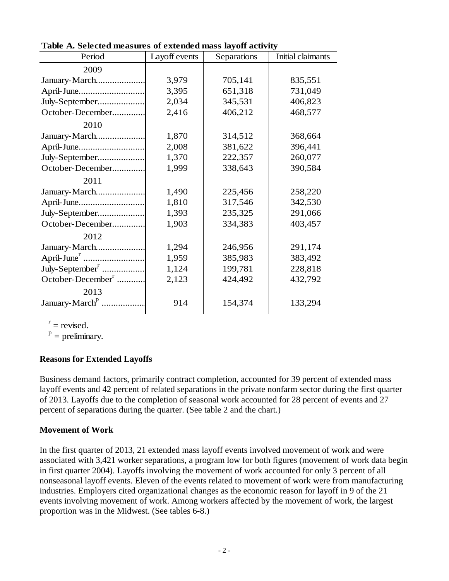| Period                        | Layoff events | Separations | Initial claimants |
|-------------------------------|---------------|-------------|-------------------|
| 2009                          |               |             |                   |
| January-March                 | 3,979         | 705,141     | 835,551           |
| April-June                    | 3,395         | 651,318     | 731,049           |
| July-September                | 2,034         | 345,531     | 406,823           |
| October-December              | 2,416         | 406,212     | 468,577           |
| 2010                          |               |             |                   |
| January-March                 | 1,870         | 314,512     | 368,664           |
| April-June                    | 2,008         | 381,622     | 396,441           |
| July-September                | 1,370         | 222,357     | 260,077           |
| October-December              | 1,999         | 338,643     | 390,584           |
| 2011                          |               |             |                   |
| January-March                 | 1,490         | 225,456     | 258,220           |
| April-June                    | 1,810         | 317,546     | 342,530           |
| July-September                | 1,393         | 235,325     | 291,066           |
| October-December              | 1,903         | 334,383     | 403,457           |
| 2012                          |               |             |                   |
| January-March                 | 1,294         | 246,956     | 291,174           |
|                               | 1,959         | 385,983     | 383,492           |
| July-September <sup>r</sup>   | 1,124         | 199,781     | 228,818           |
| October-December <sup>r</sup> | 2,123         | 424,492     | 432,792           |
| 2013                          |               |             |                   |
| January-March <sup>p</sup>    | 914           | 154,374     | 133,294           |

**Table A. Selected measures of extended mass layoff activity**

 $r =$  revised.

 $P =$  preliminary.

## **Reasons for Extended Layoffs**

Business demand factors, primarily contract completion, accounted for 39 percent of extended mass layoff events and 42 percent of related separations in the private nonfarm sector during the first quarter of 2013. Layoffs due to the completion of seasonal work accounted for 28 percent of events and 27 percent of separations during the quarter. (See table 2 and the chart.)

## **Movement of Work**

In the first quarter of 2013, 21 extended mass layoff events involved movement of work and were associated with 3,421 worker separations, a program low for both figures (movement of work data begin in first quarter 2004). Layoffs involving the movement of work accounted for only 3 percent of all nonseasonal layoff events. Eleven of the events related to movement of work were from manufacturing industries. Employers cited organizational changes as the economic reason for layoff in 9 of the 21 events involving movement of work. Among workers affected by the movement of work, the largest proportion was in the Midwest. (See tables 6-8.)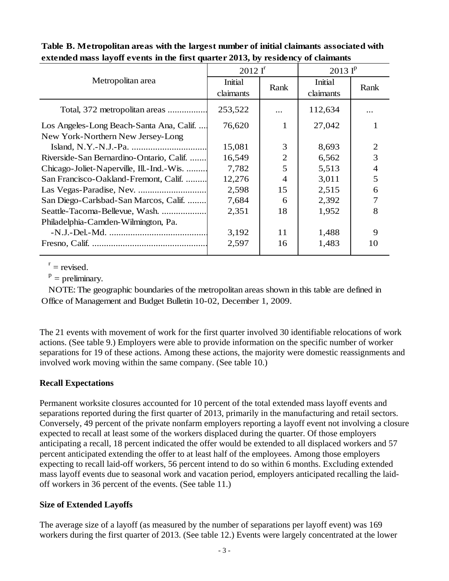|                                           | $2012I^r$            |                | $2013$ $I^p$         |                |  |
|-------------------------------------------|----------------------|----------------|----------------------|----------------|--|
| Metropolitan area                         | Initial<br>claimants | Rank           | Initial<br>claimants | Rank           |  |
| Total, 372 metropolitan areas             | 253,522              |                | 112,634              |                |  |
| Los Angeles-Long Beach-Santa Ana, Calif   | 76,620               | 1              | 27,042               |                |  |
| New York-Northern New Jersey-Long         |                      |                |                      |                |  |
|                                           | 15,081               | 3              | 8,693                | $\overline{2}$ |  |
| Riverside-San Bernardino-Ontario, Calif.  | 16,549               | $\overline{2}$ | 6,562                | 3              |  |
| Chicago-Joliet-Naperville, Ill.-Ind.-Wis. | 7,782                | 5              | 5,513                | 4              |  |
| San Francisco-Oakland-Fremont, Calif.     | 12,276               | 4              | 3,011                | 5              |  |
|                                           | 2,598                | 15             | 2,515                | 6              |  |
| San Diego-Carlsbad-San Marcos, Calif.     | 7,684                | 6              | 2,392                |                |  |
| Seattle-Tacoma-Bellevue, Wash.            | 2,351                | 18             | 1,952                | 8              |  |
| Philadelphia-Camden-Wilmington, Pa.       |                      |                |                      |                |  |
|                                           | 3,192                | 11             | 1,488                | 9              |  |
|                                           | 2,597                | 16             | 1,483                | 10             |  |
|                                           |                      |                |                      |                |  |

## **Table B. Metropolitan areas with the largest number of initial claimants associated with extended mass layoff events in the first quarter 2013, by residency of claimants**

 $r =$  revised.

 $p =$  preliminary.

 NOTE: The geographic boundaries of the metropolitan areas shown in this table are defined in Office of Management and Budget Bulletin 10-02, December 1, 2009.

The 21 events with movement of work for the first quarter involved 30 identifiable relocations of work actions. (See table 9.) Employers were able to provide information on the specific number of worker separations for 19 of these actions. Among these actions, the majority were domestic reassignments and involved work moving within the same company. (See table 10.)

## **Recall Expectations**

Permanent worksite closures accounted for 10 percent of the total extended mass layoff events and separations reported during the first quarter of 2013, primarily in the manufacturing and retail sectors. Conversely, 49 percent of the private nonfarm employers reporting a layoff event not involving a closure expected to recall at least some of the workers displaced during the quarter. Of those employers anticipating a recall, 18 percent indicated the offer would be extended to all displaced workers and 57 percent anticipated extending the offer to at least half of the employees. Among those employers expecting to recall laid-off workers, 56 percent intend to do so within 6 months. Excluding extended mass layoff events due to seasonal work and vacation period, employers anticipated recalling the laidoff workers in 36 percent of the events. (See table 11.)

## **Size of Extended Layoffs**

The average size of a layoff (as measured by the number of separations per layoff event) was 169 workers during the first quarter of 2013. (See table 12.) Events were largely concentrated at the lower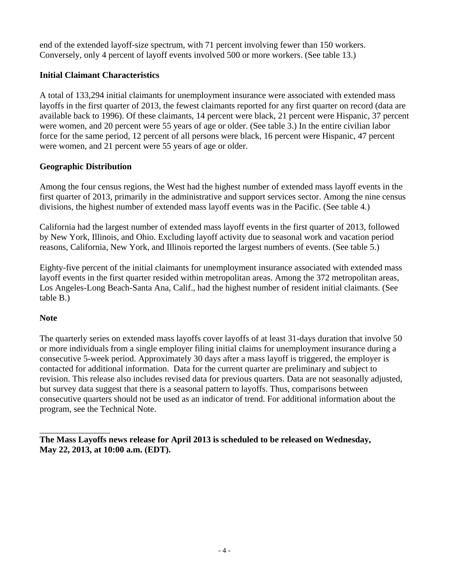end of the extended layoff-size spectrum, with 71 percent involving fewer than 150 workers. Conversely, only 4 percent of layoff events involved 500 or more workers. (See table 13.)

## **Initial Claimant Characteristics**

A total of 133,294 initial claimants for unemployment insurance were associated with extended mass layoffs in the first quarter of 2013, the fewest claimants reported for any first quarter on record (data are available back to 1996). Of these claimants, 14 percent were black, 21 percent were Hispanic, 37 percent were women, and 20 percent were 55 years of age or older. (See table 3.) In the entire civilian labor force for the same period, 12 percent of all persons were black, 16 percent were Hispanic, 47 percent were women, and 21 percent were 55 years of age or older.

## **Geographic Distribution**

Among the four census regions, the West had the highest number of extended mass layoff events in the first quarter of 2013, primarily in the administrative and support services sector. Among the nine census divisions, the highest number of extended mass layoff events was in the Pacific. (See table 4.)

California had the largest number of extended mass layoff events in the first quarter of 2013, followed by New York, Illinois, and Ohio. Excluding layoff activity due to seasonal work and vacation period reasons, California, New York, and Illinois reported the largest numbers of events. (See table 5.)

Eighty-five percent of the initial claimants for unemployment insurance associated with extended mass layoff events in the first quarter resided within metropolitan areas. Among the 372 metropolitan areas, Los Angeles-Long Beach-Santa Ana, Calif., had the highest number of resident initial claimants. (See table B.)

## **Note**

 $\overline{\phantom{a}}$  , where  $\overline{\phantom{a}}$  , where  $\overline{\phantom{a}}$ 

The quarterly series on extended mass layoffs cover layoffs of at least 31-days duration that involve 50 or more individuals from a single employer filing initial claims for unemployment insurance during a consecutive 5-week period. Approximately 30 days after a mass layoff is triggered, the employer is contacted for additional information. Data for the current quarter are preliminary and subject to revision. This release also includes revised data for previous quarters. Data are not seasonally adjusted, but survey data suggest that there is a seasonal pattern to layoffs. Thus, comparisons between consecutive quarters should not be used as an indicator of trend. For additional information about the program, see the Technical Note.

**The Mass Layoffs news release for April 2013 is scheduled to be released on Wednesday, May 22, 2013, at 10:00 a.m. (EDT).**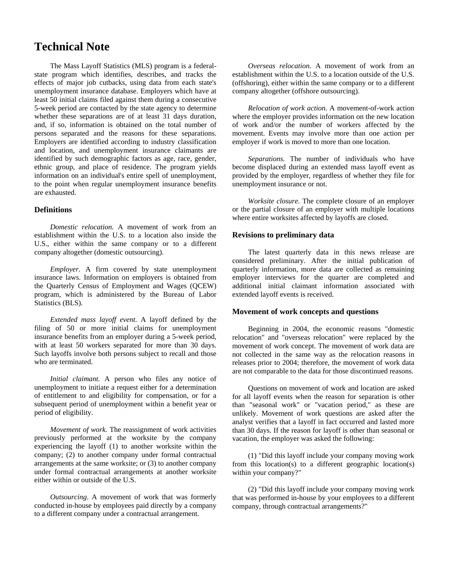## **Technical Note**

The Mass Layoff Statistics (MLS) program is a federalstate program which identifies, describes, and tracks the effects of major job cutbacks, using data from each state's unemployment insurance database. Employers which have at least 50 initial claims filed against them during a consecutive 5-week period are contacted by the state agency to determine whether these separations are of at least 31 days duration, and, if so, information is obtained on the total number of persons separated and the reasons for these separations. Employers are identified according to industry classification and location, and unemployment insurance claimants are identified by such demographic factors as age, race, gender, ethnic group, and place of residence. The program yields information on an individual's entire spell of unemployment, to the point when regular unemployment insurance benefits are exhausted.

### **Definitions**

*Domestic relocation.* A movement of work from an establishment within the U.S. to a location also inside the U.S., either within the same company or to a different company altogether (domestic outsourcing).

*Employer.* A firm covered by state unemployment insurance laws. Information on employers is obtained from the Quarterly Census of Employment and Wages (QCEW) program, which is administered by the Bureau of Labor Statistics (BLS).

*Extended mass layoff event*. A layoff defined by the filing of 50 or more initial claims for unemployment insurance benefits from an employer during a 5-week period, with at least 50 workers separated for more than 30 days. Such layoffs involve both persons subject to recall and those who are terminated.

*Initial claimant.* A person who files any notice of unemployment to initiate a request either for a determination of entitlement to and eligibility for compensation, or for a subsequent period of unemployment within a benefit year or period of eligibility.

*Movement of work.* The reassignment of work activities previously performed at the worksite by the company experiencing the layoff (1) to another worksite within the company; (2) to another company under formal contractual arrangements at the same worksite; or (3) to another company under formal contractual arrangements at another worksite either within or outside of the U.S.

*Outsourcing*. A movement of work that was formerly conducted in-house by employees paid directly by a company to a different company under a contractual arrangement.

*Overseas relocation.* A movement of work from an establishment within the U.S. to a location outside of the U.S. (offshoring), either within the same company or to a different company altogether (offshore outsourcing).

*Relocation of work action.* A movement-of-work action where the employer provides information on the new location of work and/or the number of workers affected by the movement. Events may involve more than one action per employer if work is moved to more than one location.

*Separations.* The number of individuals who have become displaced during an extended mass layoff event as provided by the employer, regardless of whether they file for unemployment insurance or not.

*Worksite closure.* The complete closure of an employer or the partial closure of an employer with multiple locations where entire worksites affected by layoffs are closed.

### **Revisions to preliminary data**

The latest quarterly data in this news release are considered preliminary. After the initial publication of quarterly information, more data are collected as remaining employer interviews for the quarter are completed and additional initial claimant information associated with extended layoff events is received.

#### **Movement of work concepts and questions**

Beginning in 2004, the economic reasons "domestic relocation" and "overseas relocation" were replaced by the movement of work concept. The movement of work data are not collected in the same way as the relocation reasons in releases prior to 2004; therefore, the movement of work data are not comparable to the data for those discontinued reasons.

Questions on movement of work and location are asked for all layoff events when the reason for separation is other than "seasonal work" or "vacation period," as these are unlikely. Movement of work questions are asked after the analyst verifies that a layoff in fact occurred and lasted more than 30 days. If the reason for layoff is other than seasonal or vacation, the employer was asked the following:

(1) "Did this layoff include your company moving work from this location(s) to a different geographic location(s) within your company?"

(2) "Did this layoff include your company moving work that was performed in-house by your employees to a different company, through contractual arrangements?"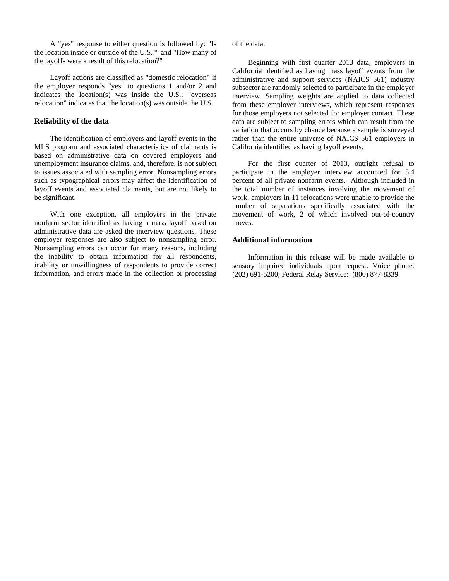A "yes" response to either question is followed by: "Is the location inside or outside of the U.S.?" and "How many of the layoffs were a result of this relocation?"

Layoff actions are classified as "domestic relocation" if the employer responds "yes" to questions 1 and/or 2 and indicates the location(s) was inside the U.S.; "overseas relocation" indicates that the location(s) was outside the U.S.

### **Reliability of the data**

The identification of employers and layoff events in the MLS program and associated characteristics of claimants is based on administrative data on covered employers and unemployment insurance claims, and, therefore, is not subject to issues associated with sampling error. Nonsampling errors such as typographical errors may affect the identification of layoff events and associated claimants, but are not likely to be significant.

With one exception, all employers in the private nonfarm sector identified as having a mass layoff based on administrative data are asked the interview questions. These employer responses are also subject to nonsampling error. Nonsampling errors can occur for many reasons, including the inability to obtain information for all respondents, inability or unwillingness of respondents to provide correct information, and errors made in the collection or processing of the data.

Beginning with first quarter 2013 data, employers in California identified as having mass layoff events from the administrative and support services (NAICS 561) industry subsector are randomly selected to participate in the employer interview. Sampling weights are applied to data collected from these employer interviews, which represent responses for those employers not selected for employer contact. These data are subject to sampling errors which can result from the variation that occurs by chance because a sample is surveyed rather than the entire universe of NAICS 561 employers in California identified as having layoff events.

For the first quarter of 2013, outright refusal to participate in the employer interview accounted for 5.4 percent of all private nonfarm events. Although included in the total number of instances involving the movement of work, employers in 11 relocations were unable to provide the number of separations specifically associated with the movement of work, 2 of which involved out-of-country moves.

### **Additional information**

Information in this release will be made available to sensory impaired individuals upon request. Voice phone: (202) 691-5200; Federal Relay Service: (800) 877-8339.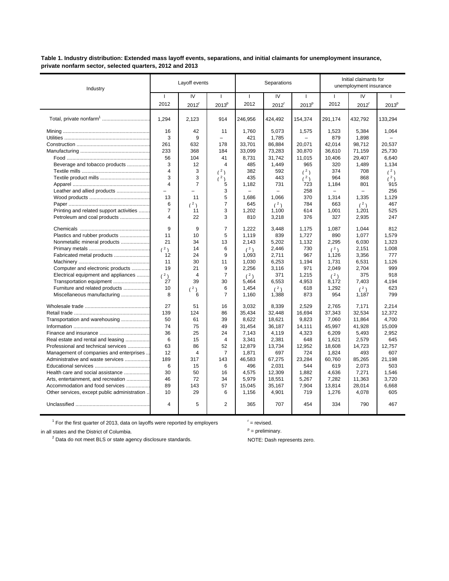**Table 1. Industry distribution: Extended mass layoff events, separations, and initial claimants for unemployment insurance, private nonfarm sector, selected quarters, 2012 and 2013**

| Industry                                      |                | Layoff events     |                   |              | Separations         |                          | Initial claimants for<br>unemployment insurance |                   |                   |
|-----------------------------------------------|----------------|-------------------|-------------------|--------------|---------------------|--------------------------|-------------------------------------------------|-------------------|-------------------|
|                                               | $\mathbf{I}$   | IV                | $\mathbf{I}$      | $\mathbf{I}$ | IV                  | $\mathbf{I}$             | $\mathbf{I}$                                    | IV                |                   |
|                                               | 2012           | 2012 <sup>r</sup> | 2013 <sup>p</sup> | 2012         | $2012$ <sup>r</sup> | 2013 <sup>p</sup>        | 2012                                            | 2012 <sup>r</sup> | 2013 <sup>p</sup> |
| Total, private nonfarm <sup>1</sup>           | 1.294          | 2.123             | 914               | 246,956      | 424.492             | 154.374                  | 291,174                                         | 432,792           | 133,294           |
|                                               | 16             | 42                | 11                | 1,760        | 5,073               | 1,575                    | 1,523                                           | 5,384             | 1,064             |
|                                               | 3              | 9                 | $\equiv$          | 421          | 1,785               | $\overline{\phantom{0}}$ | 879                                             | 1,898             |                   |
|                                               | 261            | 632               | 178               | 33.701       | 86,884              | 20.071                   | 42.014                                          | 98,712            | 20.537            |
|                                               | 233            | 368               | 184               | 33,099       | 73,283              | 30,870                   | 36,610                                          | 71,159            | 25,730            |
|                                               | 56             | 104               | 41                | 8,731        | 31,742              | 11,015                   | 10,406                                          | 29,407            | 6,640             |
| Beverage and tobacco products                 | 3              | 12                | 4                 | 485          | 1,449               | 965                      | 320                                             | 1,489             | 1,134             |
|                                               | $\overline{4}$ | 3                 | (2)               | 382          | 592                 | (2)                      | 374                                             | 708               | (2)               |
|                                               | 3              | 3                 | (2)               | 435          | 443                 | (2)                      | 964                                             | 868               | (2)               |
|                                               | $\overline{4}$ | $\overline{7}$    | 5                 | 1,182        | 731                 | 723                      | 1,184                                           | 801               | 915               |
| Leather and allied products                   | $\equiv$       |                   | 3                 |              |                     | 258                      |                                                 | L.                | 256               |
|                                               | 13             | 11                | 5                 | 1,686        | 1,066               | 370                      | 1,314                                           | 1,335             | 1,129             |
|                                               | 6              | (2)               | $\overline{7}$    | 645          | (2)                 | 784                      | 663                                             | (2)               | 467               |
| Printing and related support activities       | $\overline{7}$ | 11                | 3                 | 1,202        | 1,100               | 614                      | 1,001                                           | 1,201             | 525               |
| Petroleum and coal products                   | $\overline{4}$ | 22                | 3                 | 810          | 3,218               | 376                      | 327                                             | 2,935             | 247               |
|                                               | 9              | 9                 | $\overline{7}$    | 1.222        | 3,448               | 1,175                    | 1,087                                           | 1,044             | 812               |
| Plastics and rubber products                  | 11             | 10                | 5                 | 1,119        | 839                 | 1,727                    | 890                                             | 1,077             | 1,579             |
| Nonmetallic mineral products                  | 21             | 34                | 13                | 2,143        | 5,202               | 1,132                    | 2,295                                           | 6,030             | 1,323             |
|                                               | (2)            | 14                | 6                 | (2)          | 2,446               | 730                      | (2)                                             | 2,151             | 1,008             |
| Fabricated metal products                     | 12             | 24                | 9                 | 1,093        | 2,711               | 967                      | 1,126                                           | 3,356             | 777               |
|                                               | 11             | 30                | 11                | 1,030        | 6,253               | 1,194                    | 1,731                                           | 6,531             | 1,126             |
| Computer and electronic products              | 19             | 21                | 9                 | 2,256        | 3,116               | 971                      | 2,049                                           | 2,704             | 999               |
| Electrical equipment and appliances           | (2)            | 4                 | 7                 | (2)          | 371                 | 1,215                    | (2)                                             | 375               | 918               |
| Transportation equipment                      | 27             | 39                | 30                | 5,464        | 6,553               | 4,953                    | 8,172                                           | 7,403             | 4.194             |
| Furniture and related products                | 10             | (2)               | 6                 | 1,454        | (2)                 | 618                      | 1,292                                           | (2)               | 623               |
| Miscellaneous manufacturing                   | 8              | 6                 | $\overline{7}$    | 1,160        | 1,388               | 873                      | 954                                             | 1,187             | 799               |
|                                               | 27             | 51                | 16                | 3,032        | 8,339               | 2,529                    | 2,765                                           | 7,171             | 2,214             |
|                                               | 139            | 124               | 86                | 35,434       | 32,448              | 16,694                   | 37,343                                          | 32,534            | 12,372            |
| Transportation and warehousing                | 50             | 61                | 39                | 8,622        | 18,621              | 9,823                    | 7,060                                           | 11,864            | 4,700             |
|                                               | 74             | 75                | 49                | 31.454       | 36,187              | 14.111                   | 45.997                                          | 41.928            | 15.009            |
|                                               | 36             | 25                | 24                | 7,143        | 4,119               | 4,323                    | 6,209                                           | 5,493             | 2,952             |
| Real estate and rental and leasing            | 6              | 15                | 4                 | 3,341        | 2,381               | 648                      | 1,621                                           | 2,579             | 645               |
| Professional and technical services           | 63             | 86                | 52                | 12,879       | 13,734              | 12,952                   | 18,608                                          | 14,723            | 12,757            |
| Management of companies and enterprises       | 12             | $\overline{4}$    | $\overline{7}$    | 1,871        | 697                 | 724                      | 1,824                                           | 493               | 607               |
| Administrative and waste services             | 189            | 317               | 143               | 46,583       | 67,275              | 23,284                   | 60.760                                          | 85,265            | 21.198            |
|                                               | 6              | 15                | 6                 | 496          | 2,031               | 544                      | 619                                             | 2,073             | 503               |
| Health care and social assistance             | 30             | 50                | 16                | 4,575        | 12,309              | 1,882                    | 4,636                                           | 7,271             | 1,546             |
| Arts, entertainment, and recreation           | 46             | 72                | 34                | 5,979        | 18,551              | 5,267                    | 7,282                                           | 11,363            | 3,720             |
| Accommodation and food services               | 89             | 143               | 57                | 15.045       | 35.167              | 7.904                    | 13.814                                          | 28.014            | 6.668             |
| Other services, except public administration. | 10             | 29                | 6                 | 1,156        | 4,901               | 719                      | 1,276                                           | 4,078             | 605               |
|                                               | 4              | 5                 | 2                 | 365          | 707                 | 454                      | 334                                             | 790               | 467               |

 $<sup>1</sup>$  For the first quarter of 2013, data on layoffs were reported by employers</sup> in all states and the District of Columbia.

 $r =$  revised.

 $P =$  preliminary.

 $<sup>2</sup>$  Data do not meet BLS or state agency disclosure standards. NOTE: Dash represents zero.</sup>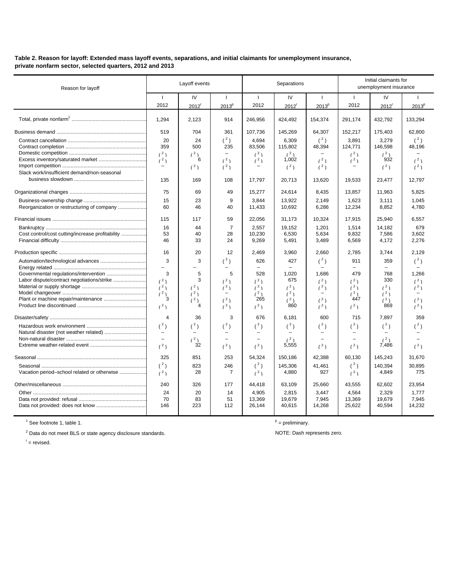**Table 2. Reason for layoff: Extended mass layoff events, separations, and initial claimants for unemployment insurance, private nonfarm sector, selected quarters, 2012 and 2013**

| Reason for layoff                                | Layoff events        |                         |                          | Separations              |                           | Initial claimants for<br>unemployment insurance |            |                   |                   |
|--------------------------------------------------|----------------------|-------------------------|--------------------------|--------------------------|---------------------------|-------------------------------------------------|------------|-------------------|-------------------|
|                                                  | $\mathbf{I}$<br>2012 | IV<br>2012 <sup>r</sup> | -1<br>2013 <sup>p</sup>  | $\mathbf{I}$<br>2012     | IV<br>$2012$ <sup>r</sup> | 2013 <sup>p</sup>                               | -1<br>2012 | <b>IV</b><br>2012 | 2013 <sup>p</sup> |
|                                                  | 1,294                | 2,123                   | 914                      | 246,956                  | 424,492                   | 154,374                                         | 291.174    | 432.792           | 133.294           |
|                                                  | 519                  | 704                     | 361                      | 107,736                  | 145,269                   | 64,307                                          | 152,217    | 175,403           | 62,800            |
|                                                  | 20                   | 24                      | $({}^{2})$               | 4.694                    | 6.309                     | $(^2)$                                          | 3.891      | 3.279             | (2)               |
|                                                  | 359                  | 500                     | 235                      | 83,506                   | 115,802                   | 48,394                                          | 124,771    | 146,598           | 48,196            |
|                                                  | (2)                  | (2)                     |                          | (2)                      | (2)                       |                                                 | (2)        | (2)               |                   |
|                                                  | (2)                  | 6                       | (2)                      | (2)                      | 1,002                     | (2)                                             | (2)        | 932               | (2)               |
|                                                  |                      | (2)                     | (2)                      |                          | (2)                       | (2)                                             |            | (2)               | (2)               |
| Slack work/insufficient demand/non-seasonal      |                      |                         |                          |                          |                           |                                                 |            |                   |                   |
|                                                  | 135                  | 169                     | 108                      | 17,797                   | 20,713                    | 13,620                                          | 19,533     | 23,477            | 12,797            |
|                                                  | 75                   | 69                      | 49                       | 15,277                   | 24,614                    | 8,435                                           | 13,857     | 11,963            | 5,825             |
|                                                  | 15                   | 23                      | 9                        | 3.844                    | 13.922                    | 2.149                                           | 1.623      | 3.111             | 1.045             |
| Reorganization or restructuring of company       | 60                   | 46                      | 40                       | 11,433                   | 10,692                    | 6,286                                           | 12,234     | 8,852             | 4,780             |
|                                                  | 115                  | 117                     | 59                       | 22,056                   | 31,173                    | 10,324                                          | 17,915     | 25,940            | 6,557             |
|                                                  | 16                   | 44                      | $\overline{7}$           | 2.557                    | 19.152                    | 1.201                                           | 1.514      | 14.182            | 679               |
| Cost control/cost cutting/increase profitability | 53                   | 40                      | 28                       | 10,230                   | 6,530                     | 5,634                                           | 9,832      | 7,586             | 3,602             |
|                                                  | 46                   | 33                      | 24                       | 9,269                    | 5,491                     | 3,489                                           | 6,569      | 4,172             | 2,276             |
|                                                  | 16                   | 20                      | 12                       | 2,469                    | 3,960                     | 2.660                                           | 2,785      | 3,744             | 2.129             |
|                                                  | 3                    | 3                       | $(^{2})$                 | 626                      | 427                       | $(^2)$                                          | 911        | 359               | $(^{2})$          |
|                                                  | $\qquad \qquad -$    |                         |                          | $\equiv$                 | $\equiv$                  |                                                 |            | $\equiv$          |                   |
|                                                  | 3                    | 5                       | 5                        | 528                      | 1,020                     | 1,686                                           | 479        | 768               | 1,266             |
| Labor dispute/contract negotiations/strike       | (2)                  | 3                       | (2)                      | (2)                      | 675                       | (2)                                             | (2)        | 330               | (2)               |
|                                                  | (2)                  | (2)                     | (2)                      | (2)                      | (2)                       | (2)                                             | (2)        | (2)               | (2)               |
| Plant or machine repair/maintenance              | (2)<br>3             | (2)                     | $\overline{\phantom{0}}$ | (2)<br>265               | (2)                       |                                                 | (2)<br>447 | (2)               |                   |
|                                                  | (2)                  | (2)<br>4                | (2)<br>(2)               | (2)                      | (2)<br>860                | (2)<br>(2)                                      | (2)        | (2)<br>869        | (2)<br>(2)        |
|                                                  |                      |                         |                          |                          |                           |                                                 |            |                   |                   |
|                                                  | $\overline{4}$       | 36                      | 3                        | 676                      | 6,181                     | 600                                             | 715        | 7,897             | 359               |
|                                                  | $({}^{2})$           | $(^2)$                  | $({}^{2})$               | $(^2)$                   | $({}^{2})$                | $({}^{2})$                                      | $(^2)$     | $(^2)$            | $(^2)$            |
| Natural disaster (not weather related)           | $\equiv$             |                         | $\equiv$                 | $\overline{\phantom{0}}$ |                           | $\equiv$                                        |            |                   |                   |
|                                                  |                      | (2)<br>32               |                          |                          | (2)<br>5,555              |                                                 |            | (2)<br>7,486      |                   |
|                                                  | (2)                  |                         | (2)                      | (2)                      |                           | (2)                                             | (2)        |                   | (2)               |
|                                                  | 325                  | 851                     | 253                      | 54,324                   | 150,186                   | 42.388                                          | 60.130     | 145,243           | 31,670            |
|                                                  | $(^2)$               | 823                     | 246                      | $(^2)$                   | 145,306                   | 41,461                                          | $(^2)$     | 140,394           | 30,895            |
| Vacation period-school related or otherwise      | (2)                  | 28                      | $\overline{7}$           | (2)                      | 4,880                     | 927                                             | (2)        | 4,849             | 775               |
|                                                  | 240                  | 326                     | 177                      | 44,418                   | 63,109                    | 25,660                                          | 43,555     | 62,602            | 23,954            |
|                                                  | 24                   | 20                      | 14                       | 4,905                    | 2,815                     | 3,447                                           | 4,564      | 2,329             | 1.777             |
|                                                  | 70                   | 83                      | 51                       | 13,369                   | 19,679                    | 7,945                                           | 13,369     | 19,679            | 7,945             |
|                                                  | 146                  | 223                     | 112                      | 26,144                   | 40,615                    | 14,268                                          | 25,622     | 40,594            | 14,232            |

 $\overline{1}$  See footnote 1, table 1. provide 1.

<sup>2</sup> Data do not meet BLS or state agency disclosure standards. Noting the state of the NOTE: Dash represents zero.

 $P =$  preliminary.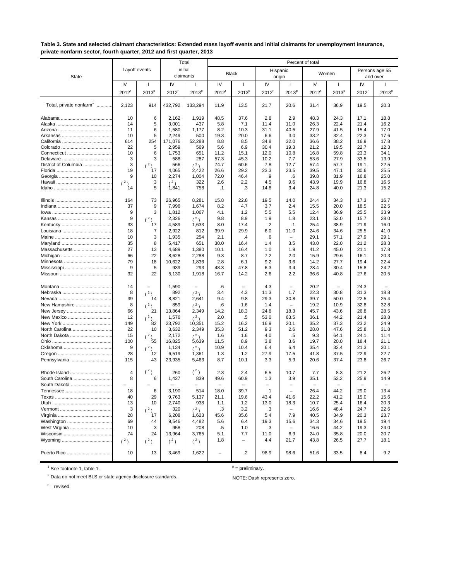#### **Table 3. State and selected claimant characteristics: Extended mass layoff events and initial claimants for unemployment insurance, private nonfarm sector, fourth quarter, 2012 and first quarter, 2013**

|                                     |                     |                   |                                   | Total             |                     |                          |                       | Percent of total                 |                        |                   |                     |                            |
|-------------------------------------|---------------------|-------------------|-----------------------------------|-------------------|---------------------|--------------------------|-----------------------|----------------------------------|------------------------|-------------------|---------------------|----------------------------|
| <b>State</b>                        | Layoff events       |                   | initial                           | claimants         | <b>Black</b>        |                          | Hispanic              | origin                           |                        | Women             |                     | Persons age 55<br>and over |
|                                     | IV                  | H                 | IV                                | 1                 | IV                  | $\mathbf{I}$             | IV                    | $\mathbf{I}$                     | IV                     | -1                | IV                  |                            |
|                                     | $2012$ <sup>r</sup> | 2013 <sup>p</sup> | $2012$ <sup>r</sup>               | 2013 <sup>p</sup> | $2012$ <sup>r</sup> | 2013 <sup>p</sup>        | $2012$ <sup>r</sup>   | 2013 <sup>p</sup>                | $2012$ <sup>r</sup>    | 2013 <sup>p</sup> | $2012$ <sup>r</sup> | $2013^{\circ}$             |
| Total, private nonfarm <sup>1</sup> | 2,123               | 914               | 432,792                           | 133,294           | 11.9                | 13.5                     | 21.7                  | 20.6                             | 31.4                   | 36.9              | 19.5                | 20.3                       |
|                                     | 10                  | 6                 | 2,162                             | 1,919             | 48.5                | 37.6                     | 2.8                   | 2.9                              | 48.3                   | 24.3              | 17.1                | 18.8                       |
|                                     | 14                  | 5                 | 3,001                             | 437               | 5.8                 | 7.1                      | 11.4                  | 11.0                             | 26.3                   | 22.4              | 21.4                | 16.2                       |
|                                     | 11                  | 6                 | 1,580                             | 1,177             | 8.2                 | 10.3                     | 31.1                  | 40.5                             | 27.9                   | 41.5              | 15.4                | 17.0                       |
|                                     | 10<br>614           | 5<br>254          | 2,249<br>171,076                  | 500<br>52,288     | 19.3<br>8.8         | 20.0<br>8.5              | 6.6<br>34.8           | 3.0<br>32.0                      | 33.2<br>36.6           | 32.4<br>38.2      | 22.3<br>16.9        | 17.6<br>17.8               |
|                                     | 22                  | 5                 | 2,959                             | 569               | 5.6                 | 6.9                      | 30.4                  | 19.3                             | 21.2                   | 19.5              | 22.7                | 12.3                       |
| Connecticut                         | 10                  | 6                 | 1,753                             | 651               | 11.2                | 15.1                     | 12.0                  | 10.8                             | 16.8                   | 59.8              | 23.3                | 34.1                       |
|                                     | 3                   | 3                 | 588                               | 287               | 57.3                | 45.3                     | 10.2                  | 7.7                              | 53.6                   | 27.9              | 33.5                | 13.9                       |
| District of Columbia                | 3<br>19             | (2)<br>17         | 566<br>4,065                      | (2)<br>2,422      | 74.7<br>26.6        | 60.6<br>29.2             | 7.8<br>23.3           | 12.7<br>23.5                     | 57.4<br>39.5           | 57.7<br>47.1      | 19.1<br>30.6        | 22.5<br>25.5               |
|                                     | 9                   | 10                | 2,274                             | 1,004             | 72.0                | 46.4                     | .9                    | .6                               | 39.8                   | 31.9              | 16.8                | 25.0                       |
|                                     | (2)                 | 3                 | (2)                               | 322               | 2.6                 | 2.2                      | 4.5                   | 9.6                              | 43.9                   | 19.9              | 16.8                | 16.5                       |
|                                     | 14                  | 5                 | 1,841                             | 758               | $\cdot$ 1           | .3                       | 14.8                  | 9.4                              | 24.8                   | 40.0              | 21.3                | 15.2                       |
|                                     | 164                 | 73                | 26,965                            | 8,281             | 15.8                | 22.8                     | 19.5                  | 14.0                             | 24.4                   | 34.3              | 17.3                | 16.7                       |
|                                     | 37                  | 9                 | 7,996                             | 1,674             | 8.2                 | 4.7                      | 3.7                   | 2.4                              | 15.5                   | 20.0              | 18.5                | 22.5                       |
|                                     | 9<br>9              | 3                 | 1,812<br>2,326                    | 1,067             | 4.1<br>9.8          | 1.2<br>8.9               | 5.5<br>1.9            | 5.5<br>1.8                       | 12.4<br>23.1           | 36.9<br>53.0      | 25.5<br>15.7        | 33.9<br>28.0               |
|                                     | 33                  | $(^2)$<br>17      | 4,589                             | (2)<br>1,633      | 8.0                 | 17.4                     | .2                    | $\cdot$ 1                        | 25.4                   | 38.9              | 21.9                | 16.0                       |
|                                     | 18                  | 7                 | 2,922                             | 812               | 39.9                | 29.9                     | 6.0                   | 11.0                             | 24.6                   | 34.6              | 25.5                | 41.0                       |
|                                     | 10                  | 3                 | 1,935                             | 254               | 2.1                 | .4                       | .6                    |                                  | 29.1                   | 57.1              | 27.9                | 29.1                       |
|                                     | 35                  | 8                 | 5,417                             | 651               | 30.0                | 16.4                     | 1.4                   | 3.5                              | 43.0                   | 22.0              | 21.2                | 28.3                       |
| Massachusetts                       | 27                  | 13                | 4,689                             | 1,380             | 10.1                | 16.4                     | 1.0                   | 1.9                              | 41.2                   | 45.0              | 21.1                | 17.8                       |
|                                     | 66                  | 22                | 8,628                             | 2,288             | 9.3                 | 8.7                      | 7.2                   | 2.0                              | 15.9                   | 29.6              | 16.1                | 20.3                       |
|                                     | 79<br>9             | 18<br>5           | 10,622<br>939                     | 1,836<br>293      | 2.8<br>48.3         | 6.1<br>47.8              | 9.2<br>6.3            | 3.6<br>3.4                       | 14.2<br>28.4           | 27.7<br>30.4      | 19.4<br>15.8        | 22.4<br>24.2               |
|                                     | 32                  | 22                | 5,130                             | 1,918             | 16.7                | 14.2                     | 2.6                   | 2.2                              | 36.6                   | 40.8              | 27.6                | 20.5                       |
|                                     | 14                  |                   | 1,590                             | $\overline{ }$    | .6                  |                          | 4.3                   | $\overline{\phantom{0}}$         | 20.2                   |                   | 24.3                |                            |
|                                     | 8                   | (2)               | 892                               | (2)               | 3.4                 | 4.3                      | 11.3                  | 1.7                              | 22.3                   | 30.8              | 31.3                | 18.8                       |
|                                     | 39                  | 14                | 8,821                             | 2,641             | 9.4                 | 9.8                      | 29.3                  | 30.8<br>$\overline{\phantom{a}}$ | 39.7                   | 50.0              | 22.5                | 25.4                       |
| New Hampshire                       | 8<br>66             | (2)<br>21         | 859<br>13,864                     | (2)<br>2,349      | .6<br>14.2          | 1.6<br>18.3              | 1.4<br>24.8           | 18.3                             | 19.2<br>45.7           | 10.9<br>43.6      | 32.8<br>26.8        | 32.8<br>28.5               |
| New Mexico                          | 12                  | (2)               | 1,576                             | (2)               | 2.0                 | .5                       | 53.0                  | 63.5                             | 36.1                   | 44.2              | 21.4                | 28.8                       |
|                                     | 149                 | 82                | 23,792                            | 10,351            | 15.2                | 16.2                     | 16.9                  | 20.1                             | 35.2                   | 37.3              | 23.2                | 24.9                       |
| North Carolina                      | 22                  | 10                | 3,632                             | 2,349             | 35.3                | 51.2                     | 9.3                   | 2.6                              | 28.0                   | 47.6              | 25.8                | 31.8                       |
| North Dakota                        | 15                  | (2)               | 2,172                             | (2)               | 1.6                 | 1.6                      | 4.0                   | .5                               | 9.3                    | 64.1              | 24.1                | 11.4                       |
|                                     | 100                 | 55                | 16,825                            | 5,639             | 11.5                | 8.9                      | 3.8                   | 3.6                              | 19.7                   | 20.0              | 18.4                | 21.1                       |
|                                     | 9<br>28             | (2)<br>12         | 1,134<br>6,519                    | (2)<br>1,361      | 10.9<br>1.3         | 10.4<br>1.2              | 6.4<br>27.9           | 6.4<br>17.5                      | 35.4<br>41.8           | 32.4<br>37.5      | 21.3<br>22.9        | 30.1<br>22.7               |
| Pennsylvania                        | 115                 | 43                | 23,935                            | 5,463             | 8.7                 | 10.1                     | 3.3                   | 5.9                              | 20.6                   | 37.4              | 23.8                | 26.7                       |
| Rhode Island                        | $\overline{4}$      | $(^2)$            | 260                               | $(^2)$            | 2.3                 | 2.4                      | 6.5                   | 10.7                             | 7.7                    | 8.3               | 21.2                | 26.2                       |
| South Carolina<br>South Dakota      | 8                   | 6                 | 1,427<br>$\overline{\phantom{0}}$ | 839               | 49.6                | 60.9                     | 1.3<br>$\overline{a}$ | 3.9<br>$\overline{a}$            | 35.1<br>$\overline{a}$ | 53.2<br>-         | 25.9                | 14.9                       |
|                                     | 18                  | 6                 | 3,190                             | 514               | 18.0                | 39.7                     | $\cdot$ 1             |                                  | 26.4                   | 44.2              | 29.0                | 13.4                       |
|                                     | 40                  | 29                | 9,763                             | 5,137             | 21.1                | 19.6                     | 43.4                  | 41.6                             | 22.2                   | 41.2              | 15.0                | 15.6                       |
|                                     | 13                  | 10                | 2,740                             | 938               | 1.1                 | 1.2                      | 13.0                  | 18.3                             | 10.7                   | 25.4              | 16.4                | 20.3                       |
|                                     | 3                   | (2)               | 320                               | (2)               | .3                  | 3.2                      | .3                    |                                  | 16.6                   | 48.4              | 24.7                | 22.6                       |
|                                     | 28                  | 17                | 6,208                             | 1,623             | 45.6                | 35.6                     | 5.4                   | 7.9                              | 40.5                   | 34.9              | 20.3                | 23.7                       |
| Washington<br>West Virginia         | 69<br>10            | 44<br>3           | 9,546<br>958                      | 4,482<br>208      | 5.6<br>.5           | 6.4<br>1.0               | 19.3<br>$\cdot$ 3     | 15.6<br>$\qquad \qquad -$        | 34.3<br>16.6           | 34.6<br>44.2      | 19.5<br>19.3        | 19.4<br>24.0               |
|                                     | 74                  | 24                | 13,964                            | 3,765             | 5.1                 | 7.7                      | 11.0                  | 6.9                              | 24.0                   | 35.8              | 20.0                | 20.7                       |
|                                     | (2)                 | (2)               | (2)                               | (2)               | 1.8                 | $\overline{\phantom{0}}$ | 4.4                   | 21.7                             | 43.8                   | 26.5              | 27.7                | 18.1                       |
| Puerto Rico                         | 10                  | 13                | 3,469                             | 1,622             | $\overline{a}$      | $\cdot$                  | 98.9                  | 98.6                             | 51.6                   | 33.5              | 8.4                 | 9.2                        |

 $<sup>1</sup>$  See footnote 1, table 1.</sup>

<sup>2</sup> Data do not meet BLS or state agency disclosure standards. NOTE: Dash represents zero.

 $P =$  preliminary.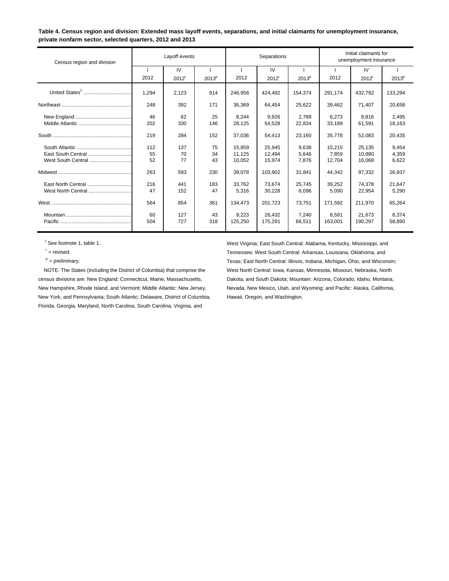**Table 4. Census region and division: Extended mass layoff events, separations, and initial claimants for unemployment insurance, private nonfarm sector, selected quarters, 2012 and 2013**

| Census region and division |       | Layoff events     |                   |         | Separations         |                   |         | Initial claimants for<br>unemployment insurance |                   |  |
|----------------------------|-------|-------------------|-------------------|---------|---------------------|-------------------|---------|-------------------------------------------------|-------------------|--|
|                            |       | IV                |                   |         | IV                  |                   |         | IV                                              |                   |  |
|                            | 2012  | 2012 <sup>r</sup> | 2013 <sup>p</sup> | 2012    | $2012$ <sup>r</sup> | 2013 <sup>p</sup> | 2012    | 2012 <sup>r</sup>                               | 2013 <sup>p</sup> |  |
|                            | 1,294 | 2,123             | 914               | 246,956 | 424,492             | 154,374           | 291,174 | 432,792                                         | 133,294           |  |
|                            | 248   | 392               | 171               | 36,369  | 64.454              | 25,622            | 39,462  | 71.407                                          | 20,658            |  |
|                            | 46    | 62                | 25                | 8.244   | 9.926               | 2.788             | 6.273   | 9.816                                           | 2,495             |  |
|                            | 202   | 330               | 146               | 28,125  | 54,528              | 22,834            | 33,189  | 61,591                                          | 18,163            |  |
|                            | 219   | 284               | 152               | 37,036  | 54,413              | 23,160            | 35,778  | 52,083                                          | 20,435            |  |
|                            | 112   | 137               | 75                | 15.859  | 25,945              | 9,638             | 15,215  | 25,135                                          | 9,454             |  |
|                            | 55    | 70                | 34                | 11.125  | 12,494              | 5,646             | 7,859   | 10.880                                          | 4,359             |  |
| West South Central         | 52    | 77                | 43                | 10,052  | 15,974              | 7,876             | 12,704  | 16,068                                          | 6,622             |  |
|                            | 263   | 593               | 230               | 39.078  | 103.902             | 31,841            | 44,342  | 97,332                                          | 26,937            |  |
| East North Central         | 216   | 441               | 183               | 33.762  | 73.674              | 25,745            | 39.252  | 74.378                                          | 21,647            |  |
| West North Central         | 47    | 152               | 47                | 5,316   | 30,228              | 6,096             | 5,090   | 22,954                                          | 5,290             |  |
|                            | 564   | 854               | 361               | 134,473 | 201.723             | 73,751            | 171,592 | 211.970                                         | 65,264            |  |
|                            | 60    | 127               | 43                | 9,223   | 26,432              | 7,240             | 8.591   | 21.673                                          | 6,374             |  |
|                            | 504   | 727               | 318               | 125,250 | 175,291             | 66,511            | 163.001 | 190,297                                         | 58,890            |  |

census divisions are: New England: Connecticut, Maine, Massachusetts, Dakota, and South Dakota; Mountain: Arizona, Colorado, Idaho, Montana, New Hampshire, Rhode Island, and Vermont; Middle Atlantic: New Jersey, Nevada, New Mexico, Utah, and Wyoming; and Pacific: Alaska, California, New York, and Pennsylvania; South Atlantic: Delaware, District of Columbia, Hawaii, Oregon, and Washington. Florida, Georgia, Maryland, North Carolina, South Carolina, Virginia, and

 1 See footnote 1, table 1. West Virginia; East South Central: Alabama, Kentucky, Mississippi, and r = revised. Tennessee; West South Central: Arkansas, Louisiana, Oklahoma, and p = preliminary. Texas; East North Central: Illinois, Indiana, Michigan, Ohio, and Wisconsin; NOTE: The States (including the District of Columbia) that comprise the West North Central: Iowa, Kansas, Minnesota, Missouri, Nebraska, North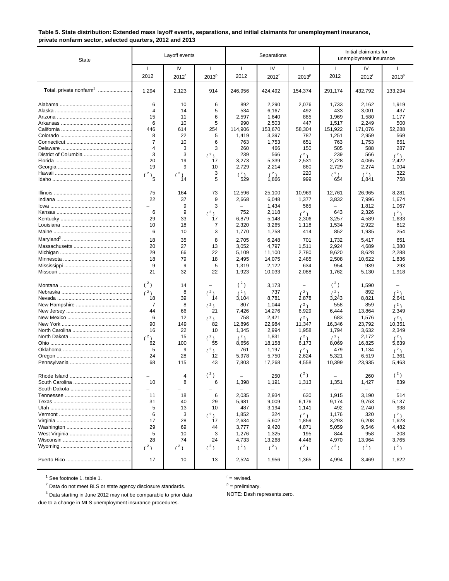|                                                          | Table 5. State distribution: Extended mass layoff events, separations, and initial claimants for unemployment insurance, |
|----------------------------------------------------------|--------------------------------------------------------------------------------------------------------------------------|
| private nonfarm sector, selected quarters, 2012 and 2013 |                                                                                                                          |

| <b>State</b>                        |                          | Layoff events             |                                   |                      | Separations             |                          |                      | Initial claimants for<br>unemployment insurance |                          |
|-------------------------------------|--------------------------|---------------------------|-----------------------------------|----------------------|-------------------------|--------------------------|----------------------|-------------------------------------------------|--------------------------|
|                                     | $\mathbf{I}$<br>2012     | IV<br>$2012$ <sup>'</sup> | $\mathbf{I}$<br>2013 <sup>p</sup> | $\mathbf{I}$<br>2012 | IV<br>2012 <sup>r</sup> | -1<br>$2013^p$           | $\mathbf{I}$<br>2012 | IV<br>$2012$ <sup>r</sup>                       | $2013^p$                 |
| Total, private nonfarm <sup>1</sup> | 1,294                    | 2,123                     | 914                               | 246.956              | 424,492                 | 154,374                  | 291,174              | 432,792                                         | 133,294                  |
|                                     | 6                        | 10                        | 6                                 | 892                  | 2,290                   | 2,076                    | 1,733                | 2,162                                           | 1,919                    |
|                                     | 4                        | 14                        | 5                                 | 534                  | 6,167                   | 492                      | 433                  | 3,001                                           | 437                      |
|                                     | 15                       | 11                        | 6                                 | 2,597                | 1,640                   | 885                      | 1,969                | 1,580                                           | 1,177                    |
|                                     | 6                        | 10                        | 5                                 | 990                  | 2,503                   | 447                      | 1,517                | 2,249                                           | 500                      |
|                                     | 446<br>8                 | 614                       | 254                               | 114,906              | 153,670                 | 58,304                   | 151,922              | 171,076                                         | 52,288                   |
|                                     | 7                        | 22<br>10                  | 5<br>6                            | 1,419<br>763         | 3,397<br>1,753          | 787<br>651               | 1,251<br>763         | 2,959<br>1,753                                  | 569<br>651               |
|                                     | 4                        | 3                         | 3                                 | 260                  | 466                     | 150                      | 505                  | 588                                             | 287                      |
|                                     | 3                        | 3                         | (2)                               | 239                  | 566                     | (2)                      | 239                  | 566                                             | (2)                      |
|                                     | 20                       | 19                        | 17                                | 3,273                | 5,339                   | 2,531                    | 2,728                | 4,065                                           | 2,422                    |
|                                     | 19                       | 9                         | 10                                | 2,729                | 2,214                   | 860                      | 2,729                | 2,274                                           | 1,004                    |
|                                     | (2)                      | (2)                       | 3                                 | (2)                  | (2)                     | 220                      | (2)                  | (2)                                             | 322                      |
|                                     | 5                        | 14                        | 5                                 | 529                  | 1,866                   | 999                      | 654                  | 1,841                                           | 758                      |
|                                     | 75                       | 164                       | 73                                | 12,596               | 25,100                  | 10,969                   | 12,761               | 26,965                                          | 8,281                    |
|                                     | 22                       | 37                        | 9                                 | 2,668                | 6,048                   | 1,377                    | 3,832                | 7,996                                           | 1,674                    |
|                                     |                          | 9                         | 3                                 |                      | 1,434                   | 565                      |                      | 1,812                                           | 1,067                    |
|                                     | 6                        | 9                         | (2)                               | 752                  | 2,118                   | (2)                      | 643                  | 2,326                                           | (2)                      |
|                                     | 29<br>10                 | 33<br>18                  | 17<br>7                           | 6,879                | 5,148                   | 2,306                    | 3,257                | 4,589                                           | 1,633                    |
|                                     | 6                        | 10                        | 3                                 | 2,320<br>1,770       | 3,265<br>1,758          | 1,118<br>414             | 1,534<br>852         | 2,922<br>1,935                                  | 812<br>254               |
|                                     |                          |                           |                                   |                      |                         |                          |                      |                                                 |                          |
|                                     | 18                       | 35                        | 8                                 | 2,705                | 6,248                   | 701                      | 1,732                | 5,417                                           | 651                      |
|                                     | 20<br>29                 | 27<br>66                  | 13<br>22                          | 3,052<br>5,109       | 4,797<br>11,100         | 1,511<br>2,780           | 2,924<br>9,620       | 4,689<br>8,628                                  | 1,380<br>2,288           |
|                                     | 18                       | 79                        | 18                                | 2,495                | 14,075                  | 2,485                    | 2,508                | 10,622                                          | 1,836                    |
|                                     | 9                        | 9                         | 5                                 | 1,319                | 2,122                   | 634                      | 954                  | 939                                             | 293                      |
|                                     | 21                       | 32                        | 22                                | 1,923                | 10,033                  | 2,088                    | 1,762                | 5,130                                           | 1,918                    |
|                                     | $(^2)$                   | 14                        | $\equiv$                          | $({}^{2})$           | 3,173                   | $\overline{\phantom{0}}$ | (2)                  | 1,590                                           |                          |
|                                     | (2)                      | 8                         | (2)                               | (2)                  | 737                     | (2)                      | (2)                  | 892                                             | (2)                      |
|                                     | 18                       | 39                        | 14                                | 3,104                | 8,781                   | 2,878                    | 3,243                | 8,821                                           | 2,641                    |
|                                     | 7<br>44                  | 8<br>66                   | (2)<br>21                         | 807<br>7,426         | 1,044<br>14,276         | (2)<br>6,929             | 558<br>6,444         | 859                                             | (2)                      |
|                                     | 6                        | 12                        | (2)                               | 758                  | 2,421                   | (2)                      | 683                  | 13,864<br>1,576                                 | 2,349<br>(2)             |
|                                     | 90                       | 149                       | 82                                | 12,896               | 22,984                  | 11,347                   | 16,346               | 23,792                                          | 10,351                   |
|                                     | 16                       | 22                        | 10                                | 1,345                | 2,994                   | 1,958                    | 1,794                | 3,632                                           | 2,349                    |
|                                     | (2)                      | 15                        | (2)                               | (2)                  | 1,831                   | (2)                      | (2)                  | 2,172                                           | (2)                      |
|                                     | 62                       | 100                       | 55                                | 8,656                | 18,158                  | 6,173                    | 8,069                | 16,825                                          | 5,639                    |
|                                     | 5                        | 9                         | (2)                               | 761                  | 1,197                   | (2)                      | 479                  | 1,134                                           | (2)                      |
|                                     | 24                       | 28                        | 12                                | 5,978                | 5,750                   | 2,624                    | 5,321                | 6,519                                           | 1,361                    |
|                                     | 68                       | 115                       | 43                                | 7,803                | 17,268                  | 4,558                    | 10,399               | 23,935                                          | 5,463                    |
|                                     |                          | 4                         | $(^2)$                            |                      | 250                     | $(^2)$                   |                      | 260                                             | $(^2)$                   |
|                                     | 10                       | 8                         | 6                                 | 1,398                | 1,191                   | 1,313                    | 1,351                | 1,427                                           | 839                      |
|                                     | $\overline{\phantom{0}}$ |                           |                                   |                      |                         |                          |                      | $\overline{\phantom{0}}$                        | $\overline{\phantom{0}}$ |
|                                     | 11                       | 18                        | 6                                 | 2,035                | 2,934                   | 630                      | 1,915                | 3,190                                           | 514                      |
|                                     | 31                       | 40                        | 29                                | 5,981                | 9,009                   | 6,176                    | 9,174                | 9,763                                           | 5,137                    |
|                                     | 5<br>6                   | 13<br>3                   | 10                                | 487<br>1,852         | 3,194<br>324            | 1,141                    | 492<br>1,176         | 2,740<br>320                                    | 938                      |
|                                     | 17                       | 28                        | (2)<br>17                         | 2,634                | 5,602                   | (2)<br>1,859             | 3,293                | 6,208                                           | (2)<br>1,623             |
|                                     | 29                       | 69                        | 44                                | 3,777                | 9,420                   | 4,871                    | 5,059                | 9,546                                           | 4,482                    |
|                                     | 5                        | 10                        | 3                                 | 1,276                | 1,325                   | 195                      | 844                  | 958                                             | 208                      |
|                                     | 28                       | 74                        | 24                                | 4,733                | 13,268                  | 4,446                    | 4,970                | 13,964                                          | 3,765                    |
|                                     | (2)                      | (2)                       | (2)                               | (2)                  | (2)                     | (2)                      | (2)                  | (2)                                             | (2)                      |
|                                     | 17                       | 10                        | 13                                | 2,524                | 1,956                   | 1,365                    | 4,994                | 3,469                                           | 1,622                    |

 $<sup>1</sup>$  See footnote 1, table 1.</sup>

 $r =$  revised.

<sup>2</sup> Data do not meet BLS or state agency disclosure standards.

 $P =$  preliminary.

 $3$  Data starting in June 2012 may not be comparable to prior data  $\blacksquare$  NOTE: Dash represents zero.

due to a change in MLS unemployment insurance procedures.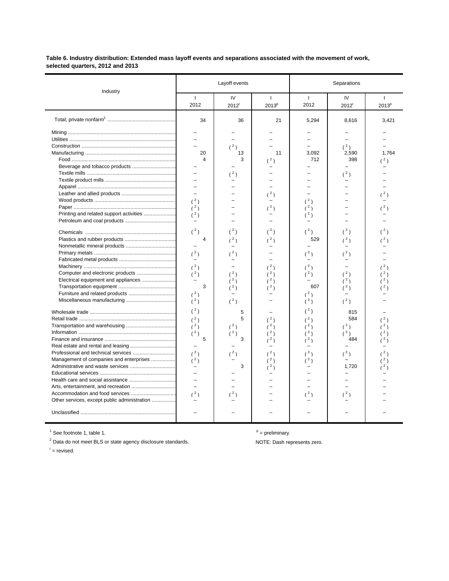### **Table 6. Industry distribution: Extended mass layoff events and separations associated with the movement of work, selected quarters, 2012 and 2013**

|                                                                                         |                                                                                                                                                  | Layoff events                                                      |                                              | Separations                                                                           |                                                                         |                                   |  |
|-----------------------------------------------------------------------------------------|--------------------------------------------------------------------------------------------------------------------------------------------------|--------------------------------------------------------------------|----------------------------------------------|---------------------------------------------------------------------------------------|-------------------------------------------------------------------------|-----------------------------------|--|
| Industry                                                                                | $\mathbf{1}$<br>2012                                                                                                                             | IV<br>2012 <sup>r</sup>                                            | $\mathbf{I}$<br>2013 <sup>p</sup>            | $\perp$<br>2012                                                                       | IV<br>2012 <sup>r</sup>                                                 | $\mathbf{I}$<br>2013 <sup>p</sup> |  |
|                                                                                         | 34                                                                                                                                               | 36                                                                 | 21                                           | 5,294                                                                                 | 8,616                                                                   | 3,421                             |  |
|                                                                                         | 20<br>4<br>$\equiv$<br>$\overline{\phantom{0}}$<br>$\overline{\phantom{0}}$<br>(2)<br>(2)<br>(2)<br>$(^2)$<br>4<br>(2)<br>(2)<br>(2)<br>3<br>(2) | $(^2)$<br>13<br>3<br>(2)<br>(2)<br>(2)<br>(2)<br>(2)<br>(2)<br>(2) | 11<br>(2)<br>(2)<br>(2)<br>(2)<br>(2)<br>(2) | 3.092<br>712<br>(2)<br>(2)<br>(2)<br>$(^2)$<br>529<br>(2)<br>(2)<br>(2)<br>607<br>(2) | (2)<br>2,590<br>398<br>$(^2)$<br>(2)<br>(2)<br>(3)<br>(2)<br>(2)<br>(3) | 1.764<br>(2)<br>(2)<br>$^2)$      |  |
| Management of companies and enterprises<br>Other services, except public administration | (2)<br>$({}^{2})$<br>(2)<br>(2)<br>(2)<br>5<br>(2)<br>(2)<br>$\overline{\phantom{0}}$<br>$\equiv$<br>L.<br>(2)                                   | (2)<br>5<br>5<br>(2)<br>(2)<br>3<br>(2)<br>3<br>(2)                | (2)<br>(2)<br>(2)<br>(2)                     | (3)<br>$(^2)$<br>(2)<br>(2)<br>(2)<br>(2)<br>(2)<br>$(^2)$<br>(2)                     | (2)<br>815<br>584<br>(2)<br>(2)<br>484<br>(2)<br>1,720<br>L.<br>(2)     |                                   |  |

<sup>1</sup> See footnote 1, table 1. p = preliminary.

 $2$  Data do not meet BLS or state agency disclosure standards.  $\blacksquare$  NOTE: Dash represents zero.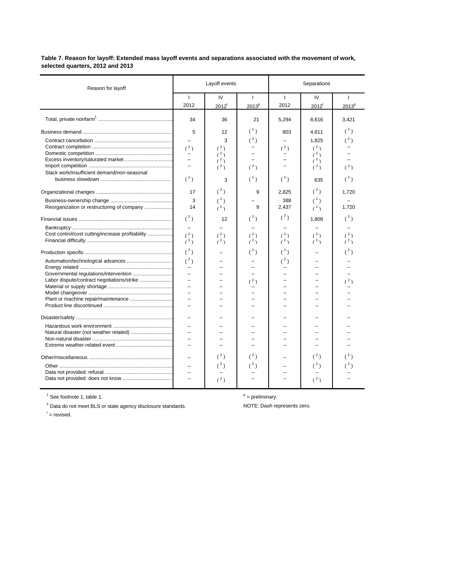**Table 7. Reason for layoff: Extended mass layoff events and separations associated with the movement of work, selected quarters, 2012 and 2013**

| Reason for layoff                                                                              | Layoff events                                                                                                                             |                                               |                                   |                                               | Separations                                       |                                        |  |  |  |
|------------------------------------------------------------------------------------------------|-------------------------------------------------------------------------------------------------------------------------------------------|-----------------------------------------------|-----------------------------------|-----------------------------------------------|---------------------------------------------------|----------------------------------------|--|--|--|
|                                                                                                | $\mathbf{I}$<br>2012                                                                                                                      | IV<br>2012                                    | $\mathbf{I}$<br>2013 <sup>p</sup> | $\mathbf{I}$<br>2012                          | IV<br>2012 <sup>r</sup>                           | $\mathbf{I}$<br>2013 <sup>p</sup>      |  |  |  |
|                                                                                                | 34                                                                                                                                        | 36                                            | 21                                | 5,294                                         | 8,616                                             | 3,421                                  |  |  |  |
| Slack work/insufficient demand/non-seasonal                                                    | 5<br>(2)<br>$\overline{\phantom{a}}$<br>$\equiv$<br>$(^2)$                                                                                | 12<br>3<br>(2)<br>(2)<br>(2)<br>(2)<br>3      | (2)<br>$(^2)$<br>(2)<br>$(^2)$    | 803<br>(2)<br>$(^2)$                          | 4,611<br>1,825<br>(2)<br>(2)<br>(2)<br>(2)<br>635 | (2)<br>$(^2)$<br>(2)<br>$(^2)$         |  |  |  |
| Reorganization or restructuring of company<br>Cost control/cost cutting/increase profitability | 17<br>3<br>14<br>$(^2)$<br>$\overline{\phantom{0}}$<br>(2)<br>(2)                                                                         | $(^{2})$<br>$(^2)$<br>(2)<br>12<br>(2)<br>(2) | 9<br>9<br>$(^{2})$<br>(2)<br>(2)  | 2,825<br>388<br>2,437<br>$(^2)$<br>(2)<br>(2) | $(^2)$<br>$(^2)$<br>(2)<br>1,808<br>(2)<br>(2)    | 1,720<br>1,720<br>$(^2)$<br>(2)<br>(2) |  |  |  |
| Plant or machine repair/maintenance                                                            | $(^2)$<br>(2)<br>$\overline{\phantom{m}}$<br>$\overline{\phantom{a}}$<br>$\overline{\phantom{a}}$<br>$\equiv$<br>$\overline{\phantom{0}}$ |                                               | (2)<br>(2)                        | $(^2)$<br>$(^{2})$                            |                                                   | $(^2)$<br>(2)                          |  |  |  |
|                                                                                                | $\overline{\phantom{0}}$<br>$\overline{\phantom{0}}$                                                                                      | (2)<br>(2)<br>(2)                             | (2)<br>$({}^{2})$                 |                                               | (2)<br>$(^2)$<br>(2)                              |                                        |  |  |  |

 $\overline{a}$  See footnote 1, table 1.

<sup>2</sup> Data do not meet BLS or state agency disclosure standards. NOTE: Dash represents zero.

 $P =$  preliminary.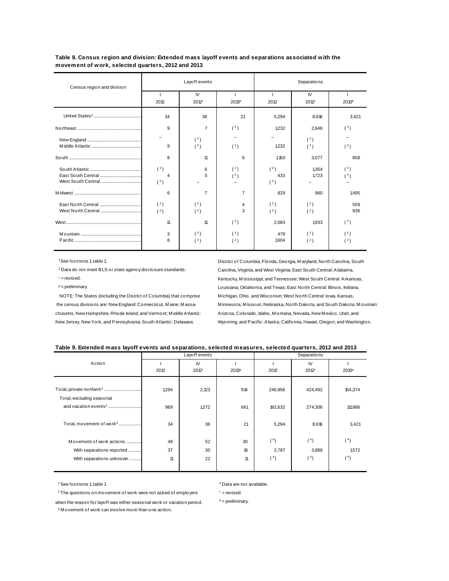**Table 8. Census region and division: Extended mass layoff events and separations associated with the movement of work, selected quarters, 2012 and 2013**

| Census region and division |                              | Layoff events            |                |                   | Separations              |            |  |  |
|----------------------------|------------------------------|--------------------------|----------------|-------------------|--------------------------|------------|--|--|
|                            | 2012                         | IV.<br>2012 <sup>r</sup> | 2013P          | 2012              | IV.<br>2012 <sub>r</sub> | 2013P      |  |  |
|                            | 34                           | 36                       | 21             | 5.294             | 8,616                    | 3.421      |  |  |
|                            | 9                            | $\overline{7}$           | (2)            | 1,232             | 2,646                    | (2)        |  |  |
|                            | $\equiv$<br>9                | (2)<br>(2)               | (2)            | 1,232             | (2)<br>(2)               | (2)        |  |  |
|                            | 8                            | 11                       | 6              | 1,150             | 3,077                    | 858        |  |  |
|                            | (2)<br>$\overline{4}$<br>(2) | 6<br>5                   | (2)<br>(2)     | (2)<br>433<br>(2) | 1.354<br>1,723           | (2)<br>(2) |  |  |
|                            | 6                            | $\overline{7}$           | $\overline{7}$ | 829               | 960                      | 1.495      |  |  |
|                            | (2)<br>(2)                   | (2)<br>(2)               | 4<br>3         | (2)<br>(2)        | (2)<br>(2)               | 559<br>936 |  |  |
|                            | 11                           | 11                       | (2)            | 2,083             | 1933                     | (2)        |  |  |
|                            | 3<br>8                       | (2)<br>(2)               | (2)<br>(2)     | 479<br>1,604      | (2)<br>(2)               | (2)<br>(2) |  |  |

chusetts, New Hampshire, Rhode Island, and Vermont; Middle Atlantic: Arizona, Colorado, Idaho, Montana, Nevada, New Mexico, Utah, and

 1 See footnote 1, table 1. District of Columbia, Florida, Georgia, M aryland, North Carolina, South 2 Data do not meet BLS or state agency disclosure standards. Carolina, Virginia, and West Virginia; East South Central: Alabama, r = revised. Kentucky, M ississippi, and Tennessee; West South Central: Arkansas, p = preliminary. Louisiana, Oklahoma, and Texas; East North Central: Illinois, Indiana, NOTE: The States (including the District of Columbia) that comprise M ichigan, Ohio, and Wisconsin; West North Central: Iowa, Kansas, the census divisions are: New England: Connecticut, M aine, M assa- M innesota, M issouri, Nebraska, North Dakota, and South Dakota; M ountain: New Jersey, New York, and Pennsylvania; South Atlantic: Delaware, Wyoming; and Pacific: Alaska, California, Hawaii, Oregon, and Washington.

|  | Table 9. Extended mass layoff events and separations, selected measures, selected quarters, 2012 and 2013 |
|--|-----------------------------------------------------------------------------------------------------------|
|--|-----------------------------------------------------------------------------------------------------------|

|                                      |       | Layoff events                  |       |         |                          |         |
|--------------------------------------|-------|--------------------------------|-------|---------|--------------------------|---------|
| Action                               | 2012  | <b>IV</b><br>2012 <sup>r</sup> | 2013P | 2012    | IV.<br>2012 <sup>r</sup> | 2013P   |
|                                      |       |                                |       |         |                          |         |
| Total, excluding seasonal            | 1,294 | 2,123                          | 914   | 246,956 | 424,492                  | 154,374 |
|                                      | 969   | 1,272                          | 661   | 192,632 | 274,306                  | 111,986 |
| Total, movement of work <sup>3</sup> | 34    | 36                             | 21    | 5,294   | 8,616                    | 3,421   |
| Movement of work actions             | 48    | 52                             | 30    | (4)     | (4)                      | (4)     |
| With separations reported            | 37    | 30                             | 19    | 2,787   | 3,886                    | 1,572   |
| With separations unknown             | 11    | 22                             | 11    | (4)     | (4)                      | (4)     |

<sup>1</sup> See footnote 1, table 1.  $\blacksquare$   $\blacksquare$   $\blacksquare$   $\blacksquare$   $\blacksquare$   $\blacksquare$   $\blacksquare$   $\blacksquare$   $\blacksquare$   $\blacksquare$   $\blacksquare$   $\blacksquare$   $\blacksquare$   $\blacksquare$   $\blacksquare$   $\blacksquare$   $\blacksquare$   $\blacksquare$   $\blacksquare$   $\blacksquare$   $\blacksquare$   $\blacksquare$   $\blacksquare$   $\blacksquare$   $\blacksquare$   $\blacksquare$   $\blacksquare$   $\blacks$ 

 $2$  The questions on movement of work were not asked of employers  $\blacksquare$  = revised.

when the reason for layoff was either seasonal work or vacation period.  $P =$  preliminary.

<sup>3</sup> M ovement of work can involve more than one action.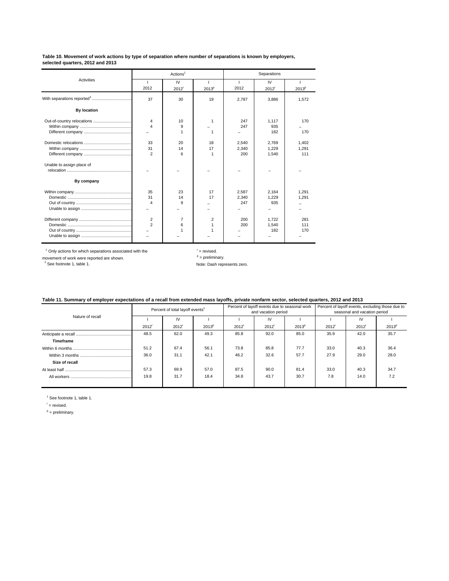#### **Table 10. Movement of work actions by type of separation where number of separations is known by employers, selected quarters, 2012 and 2013**

|                           |                         | Actions <sup>1</sup> |                   | Separations |                     |          |  |
|---------------------------|-------------------------|----------------------|-------------------|-------------|---------------------|----------|--|
| <b>Activities</b>         |                         | IV                   |                   |             | <b>IV</b>           |          |  |
|                           | 2012                    | 2012 <sup>r</sup>    | 2013 <sup>p</sup> | 2012        | $2012$ <sup>r</sup> | $2013^p$ |  |
|                           | 37                      | 30                   | 19                | 2,787       | 3,886               | 1,572    |  |
| <b>By location</b>        |                         |                      |                   |             |                     |          |  |
|                           | $\overline{\mathbf{4}}$ | 10                   | 1                 | 247         | 1.117               | 170      |  |
|                           | $\Delta$                | 9                    |                   | 247         | 935                 |          |  |
|                           |                         |                      |                   |             | 182                 | 170      |  |
|                           | 33                      | 20                   | 18                | 2.540       | 2.769               | 1.402    |  |
|                           | 31                      | 14                   | 17                | 2.340       | 1.229               | 1.291    |  |
|                           | $\overline{2}$          | 6                    | 1                 | 200         | 1,540               | 111      |  |
| Unable to assign place of |                         |                      |                   |             |                     |          |  |
|                           |                         |                      |                   |             |                     |          |  |
| By company                |                         |                      |                   |             |                     |          |  |
|                           | 35                      | 23                   | 17                | 2.587       | 2,164               | 1.291    |  |
|                           | 31                      | 14                   | 17                | 2.340       | 1.229               | 1.291    |  |
|                           | $\overline{4}$          | g                    |                   | 247         | 935                 |          |  |
|                           |                         |                      |                   |             |                     |          |  |
|                           | $\overline{2}$          | $\overline{7}$       | 2                 | 200         | 1.722               | 281      |  |
|                           | $\overline{2}$          | 6                    | 1                 | 200         | 1.540               | 111      |  |
|                           | -                       |                      |                   |             | 182                 | 170      |  |
|                           |                         |                      |                   |             |                     |          |  |
|                           |                         |                      |                   |             |                     |          |  |

 $1$  Only actions for which separations associated with the  $1$  = revised.

movement of work were reported are shown.<br>
<sup>2</sup> See footnote 1, table 1.<br>
<sup>2</sup> See footnote 1, table 1.

| Table 11. Summary of employer expectations of a recall from extended mass layoffs, private nonfarm sector, selected quarters, 2012 and 2013 |
|---------------------------------------------------------------------------------------------------------------------------------------------|
|---------------------------------------------------------------------------------------------------------------------------------------------|

|                  | Percent of total layoff events <sup>1</sup> |                   |                   | Percent of layoff events due to seasonal work<br>and vacation period |      |                   | Percent of layoff events, excluding those due to<br>seasonal and vacation period |                   |                   |
|------------------|---------------------------------------------|-------------------|-------------------|----------------------------------------------------------------------|------|-------------------|----------------------------------------------------------------------------------|-------------------|-------------------|
| Nature of recall |                                             | IV                |                   |                                                                      | IV   |                   |                                                                                  | IV                |                   |
|                  | 2012 <sup>r</sup>                           | 2012 <sup>r</sup> | 2013 <sup>p</sup> | 2012                                                                 | 2012 | 2013 <sup>p</sup> | 2012 <sup>r</sup>                                                                | 2012 <sup>r</sup> | 2013 <sup>p</sup> |
|                  | 48.5                                        | 62.0              | 49.3              | 85.8                                                                 | 92.0 | 85.0              | 35.9                                                                             | 42.0              | 35.7              |
| Timeframe        |                                             |                   |                   |                                                                      |      |                   |                                                                                  |                   |                   |
|                  | 51.2                                        | 67.4              | 56.1              | 73.8                                                                 | 85.8 | 77.7              | 33.0                                                                             | 40.3              | 36.4              |
|                  | 36.0                                        | 31.1              | 42.1              | 46.2                                                                 | 32.6 | 57.7              | 27.9                                                                             | 29.0              | 28.0              |
| Size of recall   |                                             |                   |                   |                                                                      |      |                   |                                                                                  |                   |                   |
|                  | 57.3                                        | 69.9              | 57.0              | 87.5                                                                 | 90.0 | 81.4              | 33.0                                                                             | 40.3              | 34.7              |
|                  | 19.8                                        | 31.7              | 18.4              | 34.8                                                                 | 43.7 | 30.7              | 7.8                                                                              | 14.0              | 7.2               |
|                  |                                             |                   |                   |                                                                      |      |                   |                                                                                  |                   |                   |

<sup>1</sup> See footnote 1, table 1.

 $r =$  revised.

 $P =$  preliminary.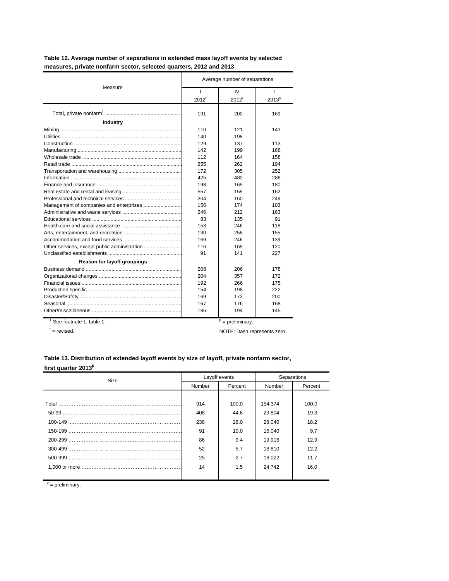| Measure                     | Average number of separations |                   |                   |  |  |
|-----------------------------|-------------------------------|-------------------|-------------------|--|--|
|                             |                               | IV.               |                   |  |  |
|                             | 2012 <sup>r</sup>             | 2012 <sup>r</sup> | 2013 <sup>p</sup> |  |  |
|                             | 191                           | 200               | 169               |  |  |
| <b>Industry</b>             |                               |                   |                   |  |  |
|                             | 110                           | 121               | 143               |  |  |
|                             | 140                           | 198               |                   |  |  |
|                             | 129                           | 137               | 113               |  |  |
|                             | 142                           | 199               | 168               |  |  |
|                             | 112                           | 164               | 158               |  |  |
|                             | 255                           | 262               | 194               |  |  |
|                             | 172                           | 305               | 252               |  |  |
|                             | 425                           | 482               | 288               |  |  |
|                             | 198                           | 165               | 180               |  |  |
|                             | 557                           | 159               | 162               |  |  |
|                             | 204                           | 160               | 249               |  |  |
|                             | 156                           | 174               | 103               |  |  |
|                             | 246                           | 212               | 163               |  |  |
|                             | 83                            | 135               | 91                |  |  |
|                             | 153                           | 246               | 118               |  |  |
|                             | 130                           | 258               | 155               |  |  |
|                             | 169                           | 246               | 139               |  |  |
|                             | 116                           | 169               | 120               |  |  |
|                             | 91                            | 141               | 227               |  |  |
| Reason for layoff groupings |                               |                   |                   |  |  |
|                             | 208                           | 206               | 178               |  |  |
|                             | 204                           | 357               | 172               |  |  |
|                             | 192                           | 266               | 175               |  |  |
|                             | 154                           | 198               | 222               |  |  |
|                             | 169                           | 172               | 200               |  |  |
|                             | 167                           | 176               | 168               |  |  |
|                             | 185                           | 194               | 145               |  |  |

**measures, private nonfarm sector, selected quarters, 2012 and 2013 Table 12. Average number of separations in extended mass layoff events by selected**

 $1^9$  See footnote 1, table 1.

 $r =$  revised.

 $P =$  preliminary.

NOTE: Dash represents zero.

### **Table 13. Distribution of extended layoff events by size of layoff, private nonfarm sector,**  first quarter 2013<sup>p</sup>

| Size |        | Layoff events | Separations |         |
|------|--------|---------------|-------------|---------|
|      | Number | Percent       | Number      | Percent |
|      |        |               |             |         |
|      | 914    | 100.0         | 154,374     | 100.0   |
|      | 408    | 44.6          | 29,804      | 19.3    |
|      | 238    | 26.0          | 28,040      | 18.2    |
|      | 91     | 10.0          | 15,040      | 9.7     |
|      | 86     | 9.4           | 19,916      | 12.9    |
|      | 52     | 5.7           | 18,810      | 12.2    |
|      | 25     | 2.7           | 18,022      | 11.7    |
|      | 14     | 1.5           | 24,742      | 16.0    |
|      |        |               |             |         |

 $P =$  preliminary.